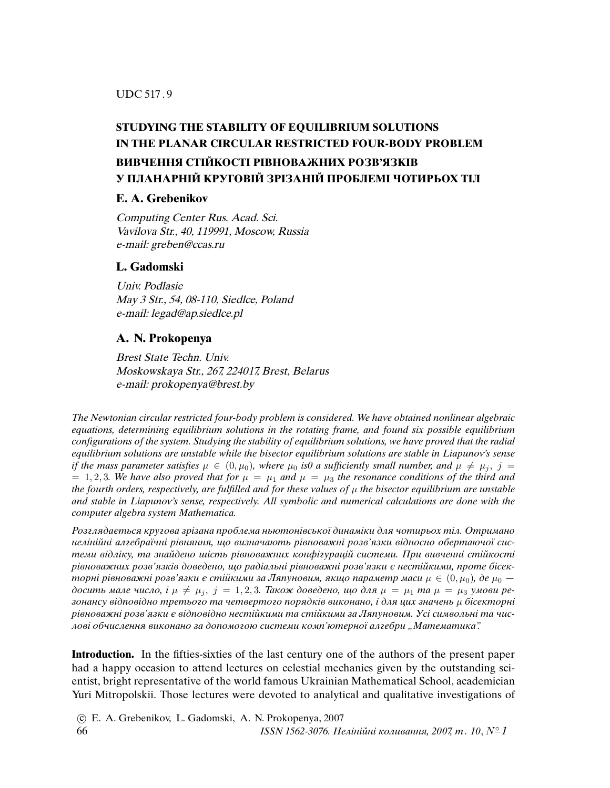UDC 517 . 9

## **STUDYING THE STABILITY OF EQUILIBRIUM SOLUTIONS IN THE PLANAR CIRCULAR RESTRICTED FOUR-BODY PROBLEM ВИВЧЕННЯ СТIЙКОСТI РIВНОВАЖНИХ РОЗВ'ЯЗКIВ У ПЛАНАРНIЙ КРУГОВIЙ ЗРIЗАНIЙ ПРОБЛЕМI ЧОТИРЬОХ ТIЛ**

## **E. A. Grebenikov**

Computing Center Rus. Acad. Sci. Vavilova Str., 40, 119991, Moscow, Russia e-mail: greben@ccas.ru

## **L. Gadomski**

Univ. Podlasie May 3 Str., 54, 08-110, Siedlce, Poland e-mail: legad@ap.siedlce.pl

## **A. N. Prokopenya**

Brest State Techn. Univ. Moskowskaya Str., 267, 224017, Brest, Belarus e-mail: prokopenya@brest.by

The Newtonian circular restricted four-body problem is considered. We have obtained nonlinear algebraic equations, determining equilibrium solutions in the rotating frame, and found six possible equilibrium con*fi*gurations of the system. Studying the stability of equilibrium solutions, we have proved that the radial equilibrium solutions are unstable while the bisector equilibrium solutions are stable in Liapunov's sense if the mass parameter satisfies  $\mu \in (0, \mu_0)$ , where  $\mu_0$  is 0 a sufficiently small number, and  $\mu \neq \mu_i$ ,  $j =$  $= 1, 2, 3$ . We have also proved that for  $\mu = \mu_1$  and  $\mu = \mu_3$  the resonance conditions of the third and the fourth orders, respectively, are fulfilled and for these values of  $\mu$  the bisector equilibrium are unstable and stable in Liapunov's sense, respectively. All symbolic and numerical calculations are done with the computer algebra system Mathematica.

Розглядається кругова зрiзана проблема ньютонiвської динамiки для чотирьох тiл. Отримано нелiнiйнi алгебраїчнi рiвняння, що визначають рiвноважнi розв'язки вiдносно обертаючої системи вiдлiку, та знайдено шiсть рiвноважних конфiгурацiй системи. При вивченнi стiйкостi рiвноважних розв'язкiв доведено, що радiальнi рiвноважнi розв'язки є нестiйкими, проте бiсекторні рівноважні розв'язки є стійкими за Ляпуновим, якщо параметр маси  $\mu \in (0, \mu_0)$ , де  $\mu_0$  досить мале число,  $i \mu \neq \mu_j$ ,  $j = 1, 2, 3$ . Також доведено, що для  $\mu = \mu_1$  та  $\mu = \mu_3$  умови резонансу відповідно третього та четвертого порядків виконано, і для цих значень  $\mu$  бісекторні рiвноважнi розв'язки є вiдповiдно нестiйкими та стiйкими за Ляпуновим. Усi символьнi та числові обчислення виконано за допомогою системи комп'ютерної алгебри "Математика".

**Introduction.** In the fifties-sixties of the last century one of the authors of the present paper had a happy occasion to attend lectures on celestial mechanics given by the outstanding scientist, bright representative of the world famous Ukrainian Mathematical School, academician Yuri Mitropolskii. Those lectures were devoted to analytical and qualitative investigations of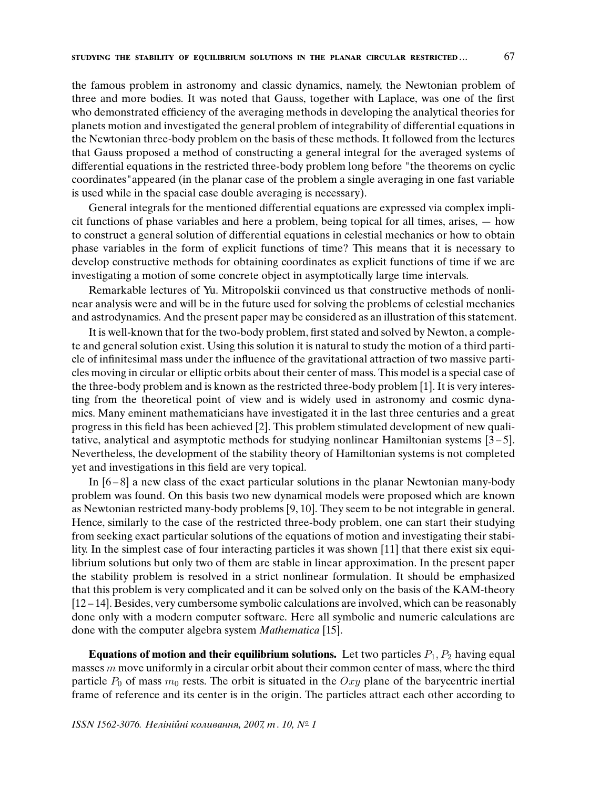the famous problem in astronomy and classic dynamics, namely, the Newtonian problem of three and more bodies. It was noted that Gauss, together with Laplace, was one of the first who demonstrated efficiency of the averaging methods in developing the analytical theories for planets motion and investigated the general problem of integrability of differential equations in the Newtonian three-body problem on the basis of these methods. It followed from the lectures that Gauss proposed a method of constructing a general integral for the averaged systems of differential equations in the restricted three-body problem long before "the theorems on cyclic coordinates"appeared (in the planar case of the problem a single averaging in one fast variable is used while in the spacial case double averaging is necessary).

General integrals for the mentioned differential equations are expressed via complex implicit functions of phase variables and here a problem, being topical for all times, arises, — how to construct a general solution of differential equations in celestial mechanics or how to obtain phase variables in the form of explicit functions of time? This means that it is necessary to develop constructive methods for obtaining coordinates as explicit functions of time if we are investigating a motion of some concrete object in asymptotically large time intervals.

Remarkable lectures of Yu. Mitropolskii convinced us that constructive methods of nonlinear analysis were and will be in the future used for solving the problems of celestial mechanics and astrodynamics. And the present paper may be considered as an illustration of this statement.

It is well-known that for the two-body problem, first stated and solved by Newton, a complete and general solution exist. Using this solution it is natural to study the motion of a third particle of infinitesimal mass under the influence of the gravitational attraction of two massive particles moving in circular or elliptic orbits about their center of mass. This model is a special case of the three-body problem and is known as the restricted three-body problem [1]. It is very interesting from the theoretical point of view and is widely used in astronomy and cosmic dynamics. Many eminent mathematicians have investigated it in the last three centuries and a great progress in this field has been achieved [2]. This problem stimulated development of new qualitative, analytical and asymptotic methods for studying nonlinear Hamiltonian systems [3 – 5]. Nevertheless, the development of the stability theory of Hamiltonian systems is not completed yet and investigations in this field are very topical.

In [6 – 8] a new class of the exact particular solutions in the planar Newtonian many-body problem was found. On this basis two new dynamical models were proposed which are known as Newtonian restricted many-body problems [9, 10]. They seem to be not integrable in general. Hence, similarly to the case of the restricted three-body problem, one can start their studying from seeking exact particular solutions of the equations of motion and investigating their stability. In the simplest case of four interacting particles it was shown [11] that there exist six equilibrium solutions but only two of them are stable in linear approximation. In the present paper the stability problem is resolved in a strict nonlinear formulation. It should be emphasized that this problem is very complicated and it can be solved only on the basis of the KAM-theory [12 – 14]. Besides, very cumbersome symbolic calculations are involved, which can be reasonably done only with a modern computer software. Here all symbolic and numeric calculations are done with the computer algebra system Mathematica [15].

**Equations of motion and their equilibrium solutions.** Let two particles  $P_1, P_2$  having equal masses  $m$  move uniformly in a circular orbit about their common center of mass, where the third particle  $P_0$  of mass  $m_0$  rests. The orbit is situated in the Oxy plane of the barycentric inertial frame of reference and its center is in the origin. The particles attract each other according to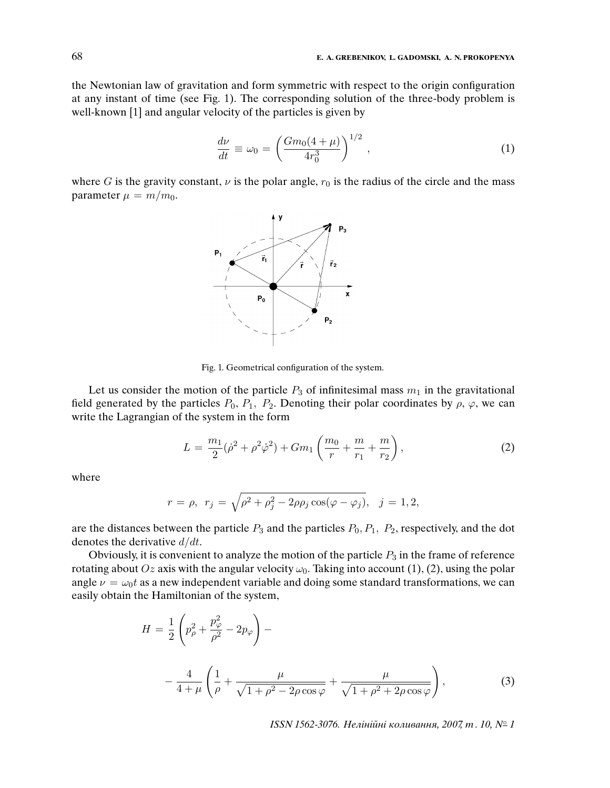the Newtonian law of gravitation and form symmetric with respect to the origin configuration at any instant of time (see Fig. 1). The corresponding solution of the three-body problem is well-known [1] and angular velocity of the particles is given by

$$
\frac{d\nu}{dt} \equiv \omega_0 = \left(\frac{Gm_0(4+\mu)}{4r_0^3}\right)^{1/2},\tag{1}
$$

where G is the gravity constant,  $\nu$  is the polar angle,  $r_0$  is the radius of the circle and the mass parameter  $\mu = m/m_0$ .



Fig. 1. Geometrical configuration of the system.

Let us consider the motion of the particle  $P_3$  of infinitesimal mass  $m_1$  in the gravitational field generated by the particles  $P_0$ ,  $P_1$ ,  $P_2$ . Denoting their polar coordinates by  $\rho$ ,  $\varphi$ , we can write the Lagrangian of the system in the form

$$
L = \frac{m_1}{2}(\dot{\rho}^2 + \rho^2 \dot{\varphi}^2) + Gm_1 \left(\frac{m_0}{r} + \frac{m}{r_1} + \frac{m}{r_2}\right),\tag{2}
$$

where

$$
r = \rho, r_j = \sqrt{\rho^2 + \rho_j^2 - 2\rho \rho_j \cos(\varphi - \varphi_j)}, j = 1, 2,
$$

are the distances between the particle  $P_3$  and the particles  $P_0$ ,  $P_1$ ,  $P_2$ , respectively, and the dot denotes the derivative  $d/dt$ .

Obviously, it is convenient to analyze the motion of the particle  $P_3$  in the frame of reference rotating about Oz axis with the angular velocity  $\omega_0$ . Taking into account (1), (2), using the polar angle  $\nu = \omega_0 t$  as a new independent variable and doing some standard transformations, we can easily obtain the Hamiltonian of the system,

$$
H = \frac{1}{2} \left( p_{\rho}^{2} + \frac{p_{\varphi}^{2}}{\rho^{2}} - 2p_{\varphi} \right) - \frac{4}{4 + \mu} \left( \frac{1}{\rho} + \frac{\mu}{\sqrt{1 + \rho^{2} - 2\rho \cos \varphi}} + \frac{\mu}{\sqrt{1 + \rho^{2} + 2\rho \cos \varphi}} \right),
$$
(3)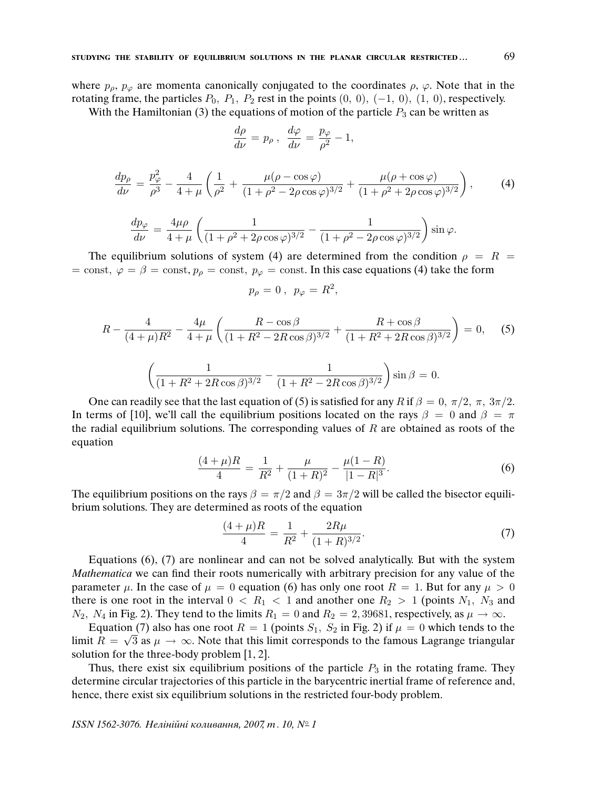where  $p_\rho, p_\varphi$  are momenta canonically conjugated to the coordinates  $\rho, \varphi$ . Note that in the rotating frame, the particles  $P_0$ ,  $P_1$ ,  $P_2$  rest in the points  $(0, 0)$ ,  $(-1, 0)$ ,  $(1, 0)$ , respectively.

With the Hamiltonian (3) the equations of motion of the particle  $P_3$  can be written as

$$
\frac{d\rho}{d\nu} = p_{\rho} , \frac{d\varphi}{d\nu} = \frac{p_{\varphi}}{\rho^2} - 1,
$$

$$
\frac{dp_{\rho}}{d\nu} = \frac{p_{\varphi}^2}{\rho^3} - \frac{4}{4+\mu} \left( \frac{1}{\rho^2} + \frac{\mu(\rho - \cos\varphi)}{(1+\rho^2 - 2\rho\cos\varphi)^{3/2}} + \frac{\mu(\rho + \cos\varphi)}{(1+\rho^2 + 2\rho\cos\varphi)^{3/2}} \right),\tag{4}
$$

$$
\frac{dp_{\varphi}}{d\nu} = \frac{4\mu\rho}{4+\mu} \left( \frac{1}{(1+\rho^2+2\rho\cos\varphi)^{3/2}} - \frac{1}{(1+\rho^2-2\rho\cos\varphi)^{3/2}} \right) \sin\varphi.
$$

The equilibrium solutions of system (4) are determined from the condition  $\rho = R$ = const,  $\varphi = \beta$  = const,  $p_{\varphi}$  = const,  $p_{\varphi}$  = const. In this case equations (4) take the form

$$
p_{\rho}=0\ ,\ \ p_{\varphi}=R^2,
$$

$$
R - \frac{4}{(4+\mu)R^2} - \frac{4\mu}{4+\mu} \left( \frac{R - \cos\beta}{(1+R^2 - 2R\cos\beta)^{3/2}} + \frac{R + \cos\beta}{(1+R^2 + 2R\cos\beta)^{3/2}} \right) = 0, \quad (5)
$$

$$
\left(\frac{1}{(1+R^2+2R\cos\beta)^{3/2}}-\frac{1}{(1+R^2-2R\cos\beta)^{3/2}}\right)\sin\beta=0.
$$

One can readily see that the last equation of (5) is satisfied for any R if  $\beta = 0, \pi/2, \pi, 3\pi/2$ . In terms of [10], we'll call the equilibrium positions located on the rays  $\beta = 0$  and  $\beta = \pi$ the radial equilibrium solutions. The corresponding values of  $R$  are obtained as roots of the equation

$$
\frac{(4+\mu)R}{4} = \frac{1}{R^2} + \frac{\mu}{(1+R)^2} - \frac{\mu(1-R)}{|1-R|^3}.
$$
 (6)

The equilibrium positions on the rays  $\beta = \pi/2$  and  $\beta = 3\pi/2$  will be called the bisector equilibrium solutions. They are determined as roots of the equation

$$
\frac{(4+\mu)R}{4} = \frac{1}{R^2} + \frac{2R\mu}{(1+R)^{3/2}}.\tag{7}
$$

Equations (6), (7) are nonlinear and can not be solved analytically. But with the system Mathematica we can find their roots numerically with arbitrary precision for any value of the parameter  $\mu$ . In the case of  $\mu = 0$  equation (6) has only one root  $R = 1$ . But for any  $\mu > 0$ there is one root in the interval  $0 < R_1 < 1$  and another one  $R_2 > 1$  (points  $N_1$ ,  $N_3$  and  $N_2$ ,  $N_4$  in Fig. 2). They tend to the limits  $R_1 = 0$  and  $R_2 = 2,39681$ , respectively, as  $\mu \to \infty$ .

Equation (7) also has one root  $R = 1$  (points  $S_1$ ,  $S_2$  in Fig. 2) if  $\mu = 0$  which tends to the limit  $R = \sqrt{3}$  as  $\mu \to \infty$ . Note that this limit corresponds to the famous Lagrange triangular solution for the three-body problem [1, 2].

Thus, there exist six equilibrium positions of the particle  $P_3$  in the rotating frame. They determine circular trajectories of this particle in the barycentric inertial frame of reference and, hence, there exist six equilibrium solutions in the restricted four-body problem.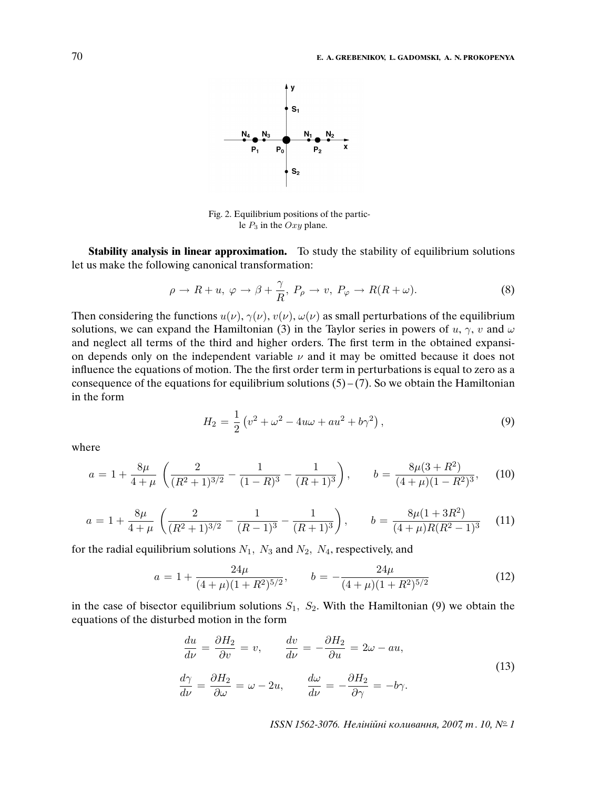

Fig. 2. Equilibrium positions of the particle  $P_3$  in the Oxy plane.

**Stability analysis in linear approximation.** To study the stability of equilibrium solutions let us make the following canonical transformation:

$$
\rho \to R + u, \, \varphi \to \beta + \frac{\gamma}{R}, \, P_{\rho} \to v, \, P_{\varphi} \to R(R + \omega). \tag{8}
$$

Then considering the functions  $u(\nu)$ ,  $\gamma(\nu)$ ,  $v(\nu)$ ,  $\omega(\nu)$  as small perturbations of the equilibrium solutions, we can expand the Hamiltonian (3) in the Taylor series in powers of u,  $\gamma$ , v and  $\omega$ and neglect all terms of the third and higher orders. The first term in the obtained expansion depends only on the independent variable  $\nu$  and it may be omitted because it does not influence the equations of motion. The the first order term in perturbations is equal to zero as a consequence of the equations for equilibrium solutions  $(5) - (7)$ . So we obtain the Hamiltonian in the form

$$
H_2 = \frac{1}{2} \left( v^2 + \omega^2 - 4u\omega + au^2 + b\gamma^2 \right),
$$
\n(9)

where

$$
a = 1 + \frac{8\mu}{4+\mu} \left( \frac{2}{(R^2+1)^{3/2}} - \frac{1}{(1-R)^3} - \frac{1}{(R+1)^3} \right), \qquad b = \frac{8\mu(3+R^2)}{(4+\mu)(1-R^2)^3}, \tag{10}
$$

$$
a = 1 + \frac{8\mu}{4+\mu} \left( \frac{2}{(R^2+1)^{3/2}} - \frac{1}{(R-1)^3} - \frac{1}{(R+1)^3} \right), \qquad b = \frac{8\mu(1+3R^2)}{(4+\mu)R(R^2-1)^3} \tag{11}
$$

for the radial equilibrium solutions  $N_1$ ,  $N_3$  and  $N_2$ ,  $N_4$ , respectively, and

$$
a = 1 + \frac{24\mu}{(4+\mu)(1+R^2)^{5/2}}, \qquad b = -\frac{24\mu}{(4+\mu)(1+R^2)^{5/2}} \tag{12}
$$

in the case of bisector equilibrium solutions  $S_1$ ,  $S_2$ . With the Hamiltonian (9) we obtain the equations of the disturbed motion in the form

$$
\frac{du}{d\nu} = \frac{\partial H_2}{\partial v} = v, \qquad \frac{dv}{d\nu} = -\frac{\partial H_2}{\partial u} = 2\omega - au,
$$
\n
$$
\frac{d\gamma}{d\nu} = \frac{\partial H_2}{\partial \omega} = \omega - 2u, \qquad \frac{d\omega}{d\nu} = -\frac{\partial H_2}{\partial \gamma} = -b\gamma.
$$
\n(13)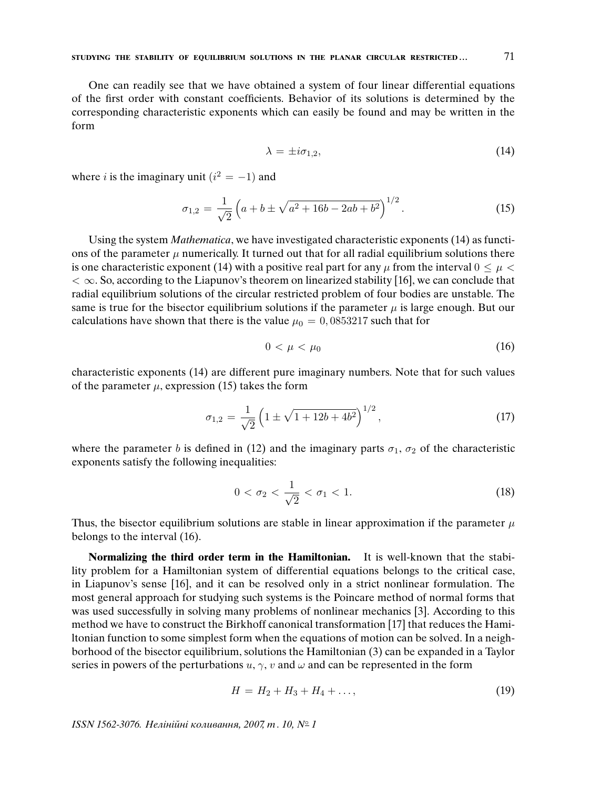One can readily see that we have obtained a system of four linear differential equations of the first order with constant coefficients. Behavior of its solutions is determined by the corresponding characteristic exponents which can easily be found and may be written in the form

$$
\lambda = \pm i \sigma_{1,2},\tag{14}
$$

where *i* is the imaginary unit  $(i^2 = -1)$  and

$$
\sigma_{1,2} = \frac{1}{\sqrt{2}} \left( a + b \pm \sqrt{a^2 + 16b - 2ab + b^2} \right)^{1/2} . \tag{15}
$$

Using the system Mathematica, we have investigated characteristic exponents (14) as functions of the parameter  $\mu$  numerically. It turned out that for all radial equilibrium solutions there is one characteristic exponent (14) with a positive real part for any  $\mu$  from the interval  $0 \leq \mu <$  $< \infty$ . So, according to the Liapunov's theorem on linearized stability [16], we can conclude that radial equilibrium solutions of the circular restricted problem of four bodies are unstable. The same is true for the bisector equilibrium solutions if the parameter  $\mu$  is large enough. But our calculations have shown that there is the value  $\mu_0 = 0,0853217$  such that for

$$
0 < \mu < \mu_0 \tag{16}
$$

characteristic exponents (14) are different pure imaginary numbers. Note that for such values of the parameter  $\mu$ , expression (15) takes the form

$$
\sigma_{1,2} = \frac{1}{\sqrt{2}} \left( 1 \pm \sqrt{1 + 12b + 4b^2} \right)^{1/2},\tag{17}
$$

where the parameter b is defined in (12) and the imaginary parts  $\sigma_1$ ,  $\sigma_2$  of the characteristic exponents satisfy the following inequalities:

$$
0 < \sigma_2 < \frac{1}{\sqrt{2}} < \sigma_1 < 1. \tag{18}
$$

Thus, the bisector equilibrium solutions are stable in linear approximation if the parameter  $\mu$ belongs to the interval (16).

**Normalizing the third order term in the Hamiltonian.** It is well-known that the stability problem for a Hamiltonian system of differential equations belongs to the critical case, in Liapunov's sense [16], and it can be resolved only in a strict nonlinear formulation. The most general approach for studying such systems is the Poincare method of normal forms that was used successfully in solving many problems of nonlinear mechanics [3]. According to this method we have to construct the Birkhoff canonical transformation [17] that reduces the Hamiltonian function to some simplest form when the equations of motion can be solved. In a neighborhood of the bisector equilibrium, solutions the Hamiltonian (3) can be expanded in a Taylor series in powers of the perturbations  $u, \gamma, v$  and  $\omega$  and can be represented in the form

$$
H = H_2 + H_3 + H_4 + \dots,\t\t(19)
$$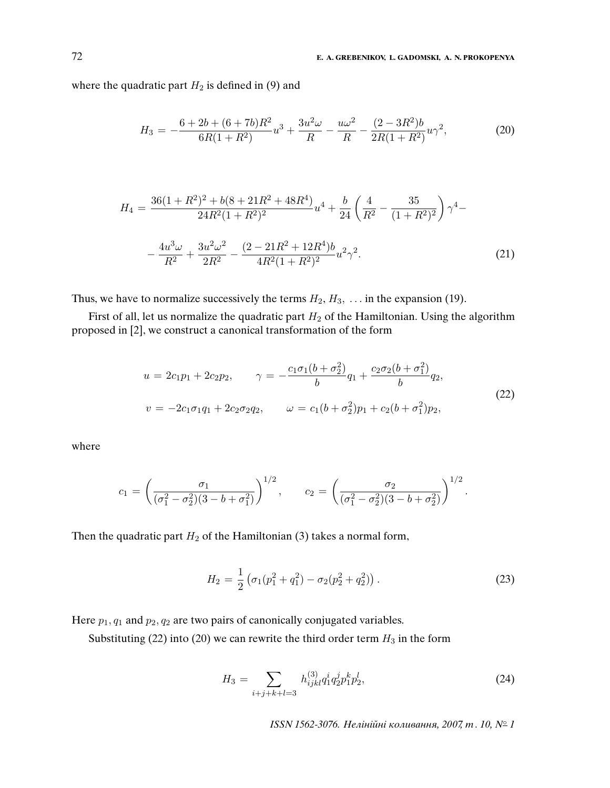where the quadratic part  $H_2$  is defined in (9) and

$$
H_3 = -\frac{6 + 2b + (6 + 7b)R^2}{6R(1 + R^2)}u^3 + \frac{3u^2\omega}{R} - \frac{u\omega^2}{R} - \frac{(2 - 3R^2)b}{2R(1 + R^2)}u\gamma^2,
$$
 (20)

$$
H_4 = \frac{36(1+R^2)^2 + b(8+21R^2+48R^4)}{24R^2(1+R^2)^2}u^4 + \frac{b}{24}\left(\frac{4}{R^2} - \frac{35}{(1+R^2)^2}\right)\gamma^4 -
$$

$$
-\frac{4u^3\omega}{R^2} + \frac{3u^2\omega^2}{2R^2} - \frac{(2-21R^2+12R^4)b}{4R^2(1+R^2)^2}u^2\gamma^2.
$$
(21)

Thus, we have to normalize successively the terms  $H_2, H_3, \ldots$  in the expansion (19).

First of all, let us normalize the quadratic part  $H_2$  of the Hamiltonian. Using the algorithm proposed in [2], we construct a canonical transformation of the form

$$
u = 2c_1p_1 + 2c_2p_2, \qquad \gamma = -\frac{c_1\sigma_1(b + \sigma_2^2)}{b}q_1 + \frac{c_2\sigma_2(b + \sigma_1^2)}{b}q_2,
$$
  

$$
v = -2c_1\sigma_1q_1 + 2c_2\sigma_2q_2, \qquad \omega = c_1(b + \sigma_2^2)p_1 + c_2(b + \sigma_1^2)p_2,
$$
 (22)

where

$$
c_1 = \left(\frac{\sigma_1}{(\sigma_1^2 - \sigma_2^2)(3 - b + \sigma_1^2)}\right)^{1/2}, \qquad c_2 = \left(\frac{\sigma_2}{(\sigma_1^2 - \sigma_2^2)(3 - b + \sigma_2^2)}\right)^{1/2}.
$$

Then the quadratic part  $H_2$  of the Hamiltonian (3) takes a normal form,

$$
H_2 = \frac{1}{2} \left( \sigma_1 (p_1^2 + q_1^2) - \sigma_2 (p_2^2 + q_2^2) \right).
$$
 (23)

Here  $p_1$ ,  $q_1$  and  $p_2$ ,  $q_2$  are two pairs of canonically conjugated variables.

Substituting (22) into (20) we can rewrite the third order term  $H_3$  in the form

$$
H_3 = \sum_{i+j+k+l=3} h_{ijkl}^{(3)} q_1^i q_2^j p_1^k p_2^l,
$$
\n(24)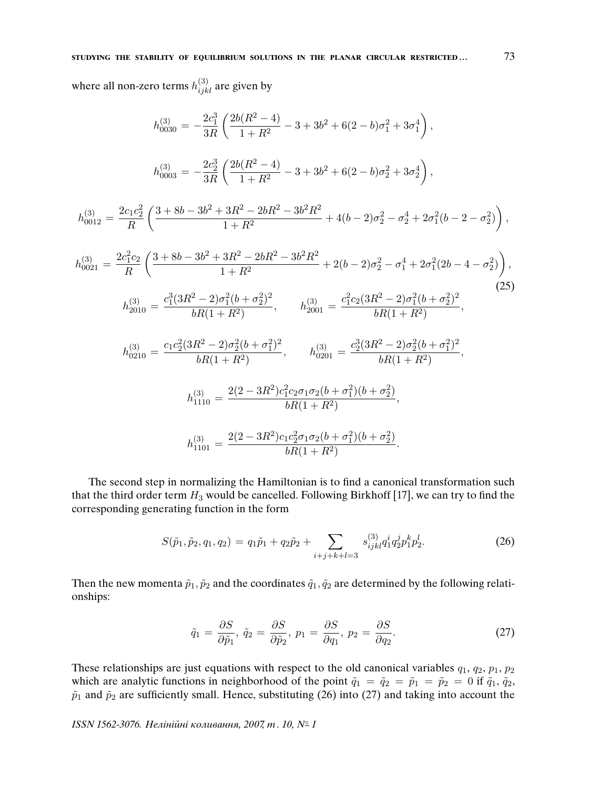where all non-zero terms  $h_{ijkl}^{(3)}$  are given by

$$
h_{0030}^{(3)} = -\frac{2c_1^3}{3R} \left( \frac{2b(R^2 - 4)}{1 + R^2} - 3 + 3b^2 + 6(2 - b)\sigma_1^2 + 3\sigma_1^4 \right),
$$
  
\n
$$
h_{0003}^{(3)} = -\frac{2c_2^3}{3R} \left( \frac{2b(R^2 - 4)}{1 + R^2} - 3 + 3b^2 + 6(2 - b)\sigma_2^2 + 3\sigma_2^4 \right),
$$
  
\n
$$
h_{0012}^{(3)} = \frac{2c_1c_2^2}{R} \left( \frac{3 + 8b - 3b^2 + 3R^2 - 2bR^2 - 3b^2R^2}{1 + R^2} + 4(b - 2)\sigma_2^2 - \sigma_2^4 + 2\sigma_1^2(b - 2 - \sigma_2^2) \right),
$$
  
\n
$$
h_{0021}^{(3)} = \frac{2c_1^2c_2}{R} \left( \frac{3 + 8b - 3b^2 + 3R^2 - 2bR^2 - 3b^2R^2}{1 + R^2} + 2(b - 2)\sigma_2^2 - \sigma_1^4 + 2\sigma_1^2(2b - 4 - \sigma_2^2) \right),
$$
  
\n
$$
h_{0201}^{(3)} = \frac{c_1^3(3R^2 - 2)\sigma_1^2(b + \sigma_2^2)^2}{bR(1 + R^2)}, \qquad h_{2001}^{(3)} = \frac{c_1^2c_2(3R^2 - 2)\sigma_1^2(b + \sigma_2^2)^2}{bR(1 + R^2)},
$$
  
\n
$$
h_{0210}^{(3)} = \frac{c_1c_2^2(3R^2 - 2)\sigma_2^2(b + \sigma_1^2)^2}{bR(1 + R^2)}, \qquad h_{0201}^{(3)} = \frac{c_2^3(3R^2 - 2)\sigma_2^2(b + \sigma_1^2)^2}{bR(1 + R^2)},
$$
  
\n
$$
h_{1110}^{(3)} = \frac{2(2 - 3R^2)c_1^2c_2\sigma_1\sigma_2(b + \sigma_1^2)(b + \sigma_2^2)}{
$$

$$
h_{1101}^{(3)} = \frac{2(2 - 3R^2)c_1c_2^2\sigma_1\sigma_2(b + \sigma_1^2)(b + \sigma_2^2)}{bR(1 + R^2)}.
$$

The second step in normalizing the Hamiltonian is to find a canonical transformation such that the third order term  $H_3$  would be cancelled. Following Birkhoff [17], we can try to find the corresponding generating function in the form

$$
S(\tilde{p}_1, \tilde{p}_2, q_1, q_2) = q_1 \tilde{p}_1 + q_2 \tilde{p}_2 + \sum_{i+j+k+l=3} s_{ijkl}^{(3)} q_1^i q_2^j p_1^k p_2^l.
$$
 (26)

Then the new momenta  $\tilde{p}_1, \tilde{p}_2$  and the coordinates  $\tilde{q}_1, \tilde{q}_2$  are determined by the following relationships:

$$
\tilde{q}_1 = \frac{\partial S}{\partial \tilde{p}_1}, \ \tilde{q}_2 = \frac{\partial S}{\partial \tilde{p}_2}, \ p_1 = \frac{\partial S}{\partial q_1}, \ p_2 = \frac{\partial S}{\partial q_2}.
$$
\n(27)

These relationships are just equations with respect to the old canonical variables  $q_1, q_2, p_1, p_2$ which are analytic functions in neighborhood of the point  $\tilde{q}_1 = \tilde{q}_2 = \tilde{p}_1 = \tilde{p}_2 = 0$  if  $\tilde{q}_1, \tilde{q}_2$ ,  $\tilde{p}_1$  and  $\tilde{p}_2$  are sufficiently small. Hence, substituting (26) into (27) and taking into account the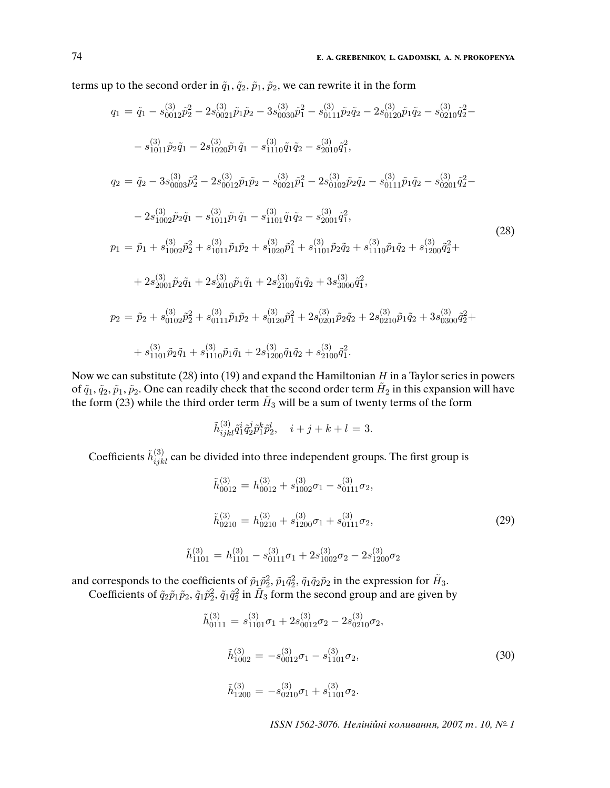terms up to the second order in  $\tilde{q}_1$ ,  $\tilde{q}_2$ ,  $\tilde{p}_1$ ,  $\tilde{p}_2$ , we can rewrite it in the form

$$
q_{1} = \tilde{q}_{1} - s_{0012}^{(3)} \tilde{p}_{2}^{2} - 2s_{0021}^{(3)} \tilde{p}_{1} \tilde{p}_{2} - 3s_{0030}^{(3)} \tilde{p}_{1}^{2} - s_{0111}^{(3)} \tilde{p}_{2} \tilde{q}_{2} - 2s_{0120}^{(3)} \tilde{p}_{1} \tilde{q}_{2} - s_{0210}^{(3)} \tilde{q}_{2}^{2} - 2s_{0101}^{(3)} \tilde{q}_{2}^{2} - 2s_{0101}^{(3)} \tilde{p}_{2} \tilde{q}_{1} - s_{1011}^{(3)} \tilde{p}_{1} \tilde{q}_{1} - s_{1110}^{(3)} \tilde{q}_{1} \tilde{q}_{2} - s_{2010}^{(3)} \tilde{q}_{1}^{2},
$$
\n
$$
q_{2} = \tilde{q}_{2} - 3s_{0003}^{(3)} \tilde{p}_{2}^{2} - 2s_{0012}^{(3)} \tilde{p}_{1} \tilde{p}_{2} - s_{0021}^{(3)} \tilde{p}_{1}^{2} - 2s_{0102}^{(3)} \tilde{p}_{2} \tilde{q}_{2} - s_{0111}^{(3)} \tilde{p}_{1} \tilde{q}_{2} - s_{0201}^{(3)} \tilde{q}_{2}^{2} - 2s_{1002}^{(3)} \tilde{p}_{2} \tilde{q}_{1} - s_{1011}^{(3)} \tilde{p}_{1} \tilde{q}_{1} - s_{1101}^{(3)} \tilde{q}_{1} \tilde{q}_{2} - s_{2001}^{(3)} \tilde{q}_{1}^{2},
$$
\n
$$
p_{1} = \tilde{p}_{1} + s_{1002}^{(3)} \tilde{p}_{2}^{2} + s_{1011}^{(3)} \tilde{p}_{1} \tilde{p}_{2} + s_{1102}^{(3)} \tilde{p}_{1} \tilde{q}_{2} + s_{1101}^{(3)} \tilde{p}_{2} \tilde{q}_{2} + s_{1110}^{(3)} \tilde{p}_{1} \tilde{q}_{2} + s_{1
$$

Now we can substitute (28) into (19) and expand the Hamiltonian  $H$  in a Taylor series in powers of  $\tilde{q}_1, \tilde{q}_2, \tilde{p}_1, \tilde{p}_2$ . One can readily check that the second order term  $H_2$  in this expansion will have the form (23) while the third order term  $\tilde{H}_3$  will be a sum of twenty terms of the form

$$
\tilde{h}^{(3)}_{ijkl}\tilde{q}^i_1\tilde{q}^j_2\tilde{p}^k_1\tilde{p}^l_2, \quad i+j+k+l=3.
$$

Coefficients  $\tilde{h}_{ijkl}^{(3)}$  can be divided into three independent groups. The first group is

$$
\tilde{h}_{0012}^{(3)} = h_{0012}^{(3)} + s_{1002}^{(3)}\sigma_1 - s_{0111}^{(3)}\sigma_2,
$$
\n
$$
\tilde{h}_{0210}^{(3)} = h_{0210}^{(3)} + s_{1200}^{(3)}\sigma_1 + s_{0111}^{(3)}\sigma_2,
$$
\n
$$
\tilde{h}_{1101}^{(3)} = h_{1101}^{(3)} - s_{0111}^{(3)}\sigma_1 + 2s_{1002}^{(3)}\sigma_2 - 2s_{1200}^{(3)}\sigma_2
$$
\n(29)

and corresponds to the coefficients of  $\tilde{p}_1 \tilde{p}_2^2$ ,  $\tilde{p}_1 \tilde{q}_2^2$ ,  $\tilde{q}_1 \tilde{q}_2 \tilde{p}_2$  in the expression for  $\tilde{H}_3$ .

Coefficients of  $\tilde{q}_2\tilde{p}_1\tilde{p}_2$ ,  $\tilde{q}_1\tilde{p}_2^2$ ,  $\tilde{q}_1\tilde{q}_2^2$  in  $\tilde{H}_3$  form the second group and are given by

$$
\tilde{h}_{0111}^{(3)} = s_{1101}^{(3)} \sigma_1 + 2s_{0012}^{(3)} \sigma_2 - 2s_{0210}^{(3)} \sigma_2,
$$
\n
$$
\tilde{h}_{1002}^{(3)} = -s_{0012}^{(3)} \sigma_1 - s_{1101}^{(3)} \sigma_2,
$$
\n
$$
\tilde{h}_{1200}^{(3)} = -s_{0210}^{(3)} \sigma_1 + s_{1101}^{(3)} \sigma_2.
$$
\n(30)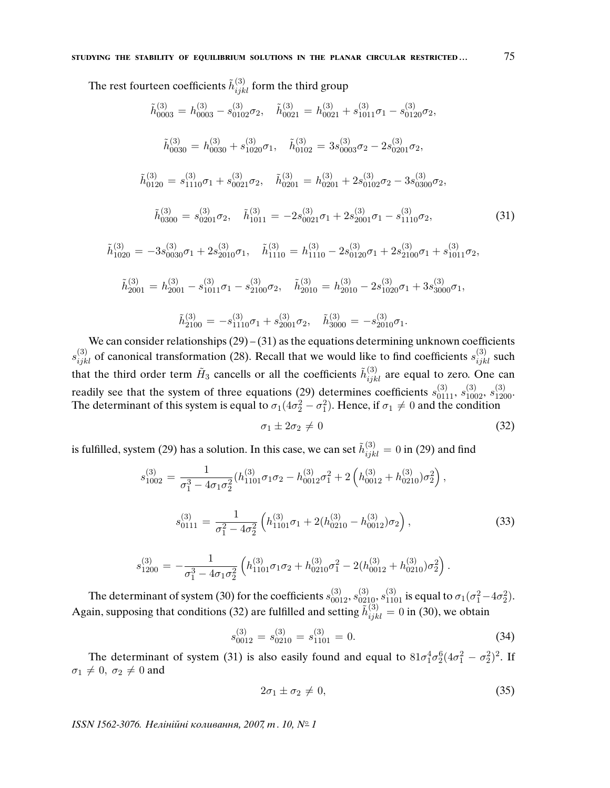The rest fourteen coefficients  $\tilde{h}_{ijkl}^{(3)}$  form the third group  $\tilde{h}^{(3)}_{0003} = h^{(3)}_{0003} - s^{(3)}_{0102} \sigma_2, \quad \tilde{h}^{(3)}_{0021} = h^{(3)}_{0021} + s^{(3)}_{1011} \sigma_1 - s^{(3)}_{0120} \sigma_2,$  $\tilde{h}^{(3)}_{0030} = h^{(3)}_{0030} + s^{(3)}_{1020} \sigma_1$ ,  $\tilde{h}^{(3)}_{0102} = 3 s^{(3)}_{0003} \sigma_2 - 2 s^{(3)}_{0201} \sigma_2$ ,  $\tilde{h}^{(3)}_{0120} = s^{(3)}_{1110} \sigma_1 + s^{(3)}_{0021} \sigma_2, \quad \tilde{h}^{(3)}_{0201} = h^{(3)}_{0201} + 2 s^{(3)}_{0102} \sigma_2 - 3 s^{(3)}_{0300} \sigma_2,$  $\tilde{h}_{0300}^{(3)} = s_{0201}^{(3)} \sigma_2, \quad \tilde{h}_{1011}^{(3)} = -2s_{0021}^{(3)} \sigma_1 + 2s_{2001}^{(3)} \sigma_1 - s_{1110}^{(3)} \sigma_2,$ (31)  $\tilde{h}^{(3)}_{1020} = -3s^{(3)}_{0030}\sigma_1 + 2s^{(3)}_{2010}\sigma_1$ ,  $\tilde{h}^{(3)}_{1110} = h^{(3)}_{1110} - 2s^{(3)}_{0120}\sigma_1 + 2s^{(3)}_{2100}\sigma_1 + s^{(3)}_{1011}\sigma_2$ ,  $\tilde{h}^{(3)}_{2001} = h^{(3)}_{2001} - s^{(3)}_{1011} \sigma_1 - s^{(3)}_{2100} \sigma_2, \quad \tilde{h}^{(3)}_{2010} = h^{(3)}_{2010} - 2 s^{(3)}_{1020} \sigma_1 + 3 s^{(3)}_{3000} \sigma_1,$  $\tilde{h}^{(3)}_{2100} = -s^{(3)}_{1110}\sigma_1 + s^{(3)}_{2001}\sigma_2, \quad \tilde{h}^{(3)}_{3000} = -s^{(3)}_{2010}\sigma_1.$ 

We can consider relationships  $(29) - (31)$  as the equations determining unknown coefficients  $s_{ijkl}^{(3)}$  of canonical transformation (28). Recall that we would like to find coefficients  $s_{ijkl}^{(3)}$  such that the third order term  $\tilde{H}_3$  cancells or all the coefficients  $\tilde{h}_{ijkl}^{(3)}$  are equal to zero. One can readily see that the system of three equations (29) determines coefficients  $s_{0111}^{(3)}$ ,  $s_{1002}^{(3)}$ ,  $s_{1200}^{(3)}$ . The determinant of this system is equal to  $\sigma_1(4\sigma_2^2 - \sigma_1^2)$ . Hence, if  $\sigma_1 \neq 0$  and the condition

$$
\sigma_1 \pm 2\sigma_2 \neq 0 \tag{32}
$$

is fulfilled, system (29) has a solution. In this case, we can set  $\tilde{h}_{ijkl}^{(3)}=0$  in (29) and find

$$
s_{1002}^{(3)} = \frac{1}{\sigma_1^3 - 4\sigma_1\sigma_2^2} (h_{1101}^{(3)}\sigma_1\sigma_2 - h_{0012}^{(3)}\sigma_1^2 + 2\left(h_{0012}^{(3)} + h_{0210}^{(3)}\right)\sigma_2^2),
$$
  

$$
s_{0111}^{(3)} = \frac{1}{\sigma_1^2 - 4\sigma_2^2} \left( h_{1101}^{(3)}\sigma_1 + 2(h_{0210}^{(3)} - h_{0012}^{(3)})\sigma_2 \right),
$$
 (33)

$$
s_{1200}^{(3)} = -\frac{1}{\sigma_1^3 - 4\sigma_1\sigma_2^2} \left( h_{1101}^{(3)} \sigma_1 \sigma_2 + h_{0210}^{(3)} \sigma_1^2 - 2(h_{0012}^{(3)} + h_{0210}^{(3)}) \sigma_2^2 \right).
$$

The determinant of system (30) for the coefficients  $s_{0012}^{(3)}, s_{0210}^{(3)}, s_{1101}^{(3)}$  is equal to  $\sigma_1(\sigma_1^2-4\sigma_2^2)$ . Again, supposing that conditions (32) are fulfilled and setting  $\tilde{h}_{ijkl}^{(3)} = 0$  in (30), we obtain

$$
s_{0012}^{(3)} = s_{0210}^{(3)} = s_{1101}^{(3)} = 0.
$$
\n(34)

The determinant of system (31) is also easily found and equal to  $81\sigma_1^4\sigma_2^6(4\sigma_1^2-\sigma_2^2)^2$ . If  $\sigma_1 \neq 0, \sigma_2 \neq 0$  and

$$
2\sigma_1 \pm \sigma_2 \neq 0,\tag{35}
$$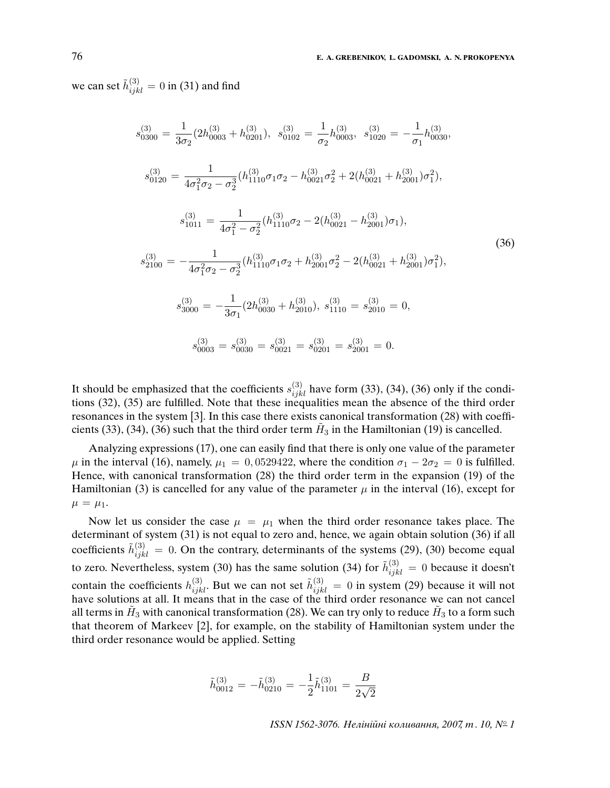we can set  $\tilde{h}^{(3)}_{ijkl} = 0$  in (31) and find

$$
s_{0300}^{(3)} = \frac{1}{3\sigma_2} (2h_{0003}^{(3)} + h_{0201}^{(3)}), \quad s_{0102}^{(3)} = \frac{1}{\sigma_2} h_{0003}^{(3)}, \quad s_{1020}^{(3)} = -\frac{1}{\sigma_1} h_{0030}^{(3)},
$$
  
\n
$$
s_{0120}^{(3)} = \frac{1}{4\sigma_1^2 \sigma_2 - \sigma_2^3} (h_{1110}^{(3)} \sigma_1 \sigma_2 - h_{0021}^{(3)} \sigma_2^2 + 2(h_{0021}^{(3)} + h_{2001}^{(3)}) \sigma_1^2),
$$
  
\n
$$
s_{1011}^{(3)} = \frac{1}{4\sigma_1^2 - \sigma_2^2} (h_{1110}^{(3)} \sigma_2 - 2(h_{0021}^{(3)} - h_{2001}^{(3)}) \sigma_1),
$$
  
\n
$$
s_{2100}^{(3)} = -\frac{1}{4\sigma_1^2 \sigma_2 - \sigma_2^3} (h_{1110}^{(3)} \sigma_1 \sigma_2 + h_{2001}^{(3)} \sigma_2^2 - 2(h_{0021}^{(3)} + h_{2001}^{(3)}) \sigma_1^2),
$$
  
\n
$$
s_{3000}^{(3)} = -\frac{1}{3\sigma_1} (2h_{0030}^{(3)} + h_{2010}^{(3)}), \quad s_{1110}^{(3)} = s_{2010}^{(3)} = 0,
$$
  
\n
$$
s_{0003}^{(3)} = s_{0030}^{(3)} = s_{0021}^{(3)} = s_{0201}^{(3)} = s_{2001}^{(3)} = 0.
$$
  
\n(36)

It should be emphasized that the coefficients  $s_{ijkl}^{(3)}$  have form (33), (34), (36) only if the conditions (32), (35) are fulfilled. Note that these inequalities mean the absence of the third order resonances in the system [3]. In this case there exists canonical transformation (28) with coefficients (33), (34), (36) such that the third order term  $H_3$  in the Hamiltonian (19) is cancelled.

Analyzing expressions (17), one can easily find that there is only one value of the parameter  $\mu$  in the interval (16), namely,  $\mu_1 = 0.0529422$ , where the condition  $\sigma_1 - 2\sigma_2 = 0$  is fulfilled. Hence, with canonical transformation (28) the third order term in the expansion (19) of the Hamiltonian (3) is cancelled for any value of the parameter  $\mu$  in the interval (16), except for  $\mu = \mu_1.$ 

Now let us consider the case  $\mu = \mu_1$  when the third order resonance takes place. The determinant of system (31) is not equal to zero and, hence, we again obtain solution (36) if all coefficients  $\tilde{h}_{ijkl}^{(3)} = 0$ . On the contrary, determinants of the systems (29), (30) become equal to zero. Nevertheless, system (30) has the same solution (34) for  $\tilde{h}_{ijkl}^{(3)} = 0$  because it doesn't contain the coefficients  $h_{ijkl}^{(3)}$ . But we can not set  $\tilde{h}_{ijkl}^{(3)} = 0$  in system (29) because it will not have solutions at all. It means that in the case of the third order resonance we can not cancel all terms in  $\tilde{H}_3$  with canonical transformation (28). We can try only to reduce  $\tilde{H}_3$  to a form such that theorem of Markeev [2], for example, on the stability of Hamiltonian system under the third order resonance would be applied. Setting

$$
\tilde{h}_{0012}^{(3)} = -\tilde{h}_{0210}^{(3)} = -\frac{1}{2}\tilde{h}_{1101}^{(3)} = \frac{B}{2\sqrt{2}}
$$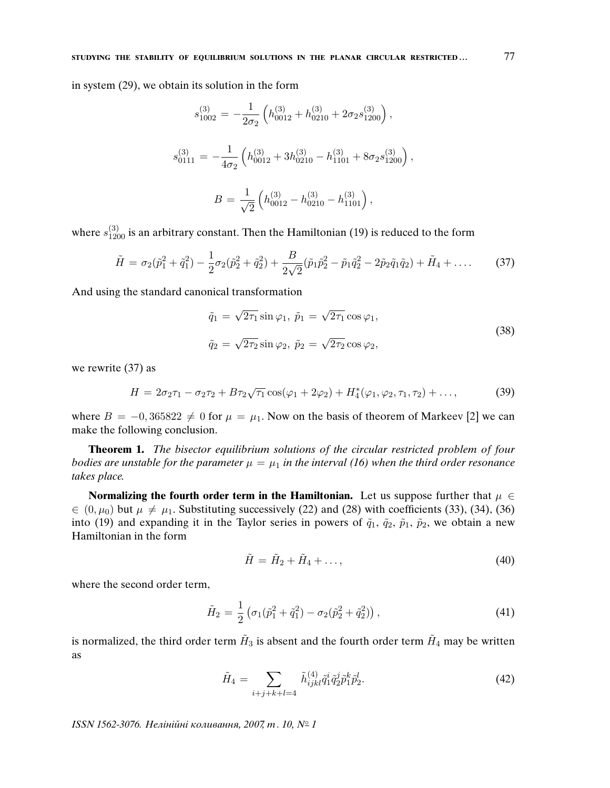in system (29), we obtain its solution in the form

$$
s_{1002}^{(3)} = -\frac{1}{2\sigma_2} \left( h_{0012}^{(3)} + h_{0210}^{(3)} + 2\sigma_2 s_{1200}^{(3)} \right),
$$
  

$$
s_{0111}^{(3)} = -\frac{1}{4\sigma_2} \left( h_{0012}^{(3)} + 3h_{0210}^{(3)} - h_{1101}^{(3)} + 8\sigma_2 s_{1200}^{(3)} \right),
$$
  

$$
B = \frac{1}{\sqrt{2}} \left( h_{0012}^{(3)} - h_{0210}^{(3)} - h_{1101}^{(3)} \right),
$$

where  $s_{1200}^{(3)}$  is an arbitrary constant. Then the Hamiltonian (19) is reduced to the form

$$
\tilde{H} = \sigma_2(\tilde{p}_1^2 + \tilde{q}_1^2) - \frac{1}{2}\sigma_2(\tilde{p}_2^2 + \tilde{q}_2^2) + \frac{B}{2\sqrt{2}}(\tilde{p}_1\tilde{p}_2^2 - \tilde{p}_1\tilde{q}_2^2 - 2\tilde{p}_2\tilde{q}_1\tilde{q}_2) + \tilde{H}_4 + \dots
$$
\n(37)

And using the standard canonical transformation

$$
\tilde{q}_1 = \sqrt{2\tau_1} \sin \varphi_1, \ \tilde{p}_1 = \sqrt{2\tau_1} \cos \varphi_1,
$$
  

$$
\tilde{q}_2 = \sqrt{2\tau_2} \sin \varphi_2, \ \tilde{p}_2 = \sqrt{2\tau_2} \cos \varphi_2,
$$
\n(38)

we rewrite (37) as

$$
H = 2\sigma_2 \tau_1 - \sigma_2 \tau_2 + B\tau_2 \sqrt{\tau_1} \cos(\varphi_1 + 2\varphi_2) + H_4^*(\varphi_1, \varphi_2, \tau_1, \tau_2) + \dots,
$$
 (39)

where  $B = -0.365822 \neq 0$  for  $\mu = \mu_1$ . Now on the basis of theorem of Markeev [2] we can make the following conclusion.

**Theorem 1.** The bisector equilibrium solutions of the circular restricted problem of four bodies are unstable for the parameter  $\mu = \mu_1$  in the interval (16) when the third order resonance takes place.

**Normalizing the fourth order term in the Hamiltonian.** Let us suppose further that  $\mu \in$  $\in (0, \mu_0)$  but  $\mu \neq \mu_1$ . Substituting successively (22) and (28) with coefficients (33), (34), (36) into (19) and expanding it in the Taylor series in powers of  $\tilde{q}_1$ ,  $\tilde{q}_2$ ,  $\tilde{p}_1$ ,  $\tilde{p}_2$ , we obtain a new Hamiltonian in the form

$$
\tilde{H} = \tilde{H}_2 + \tilde{H}_4 + \dots,\tag{40}
$$

where the second order term,

$$
\tilde{H}_2 = \frac{1}{2} \left( \sigma_1 (\tilde{p}_1^2 + \tilde{q}_1^2) - \sigma_2 (\tilde{p}_2^2 + \tilde{q}_2^2) \right),\tag{41}
$$

is normalized, the third order term  $\tilde{H}_3$  is absent and the fourth order term  $\tilde{H}_4$  may be written as

$$
\tilde{H}_4 = \sum_{i+j+k+l=4} \tilde{h}_{ijkl}^{(4)} \tilde{q}_1^i \tilde{q}_2^j \tilde{p}_1^k \tilde{p}_2^l.
$$
\n(42)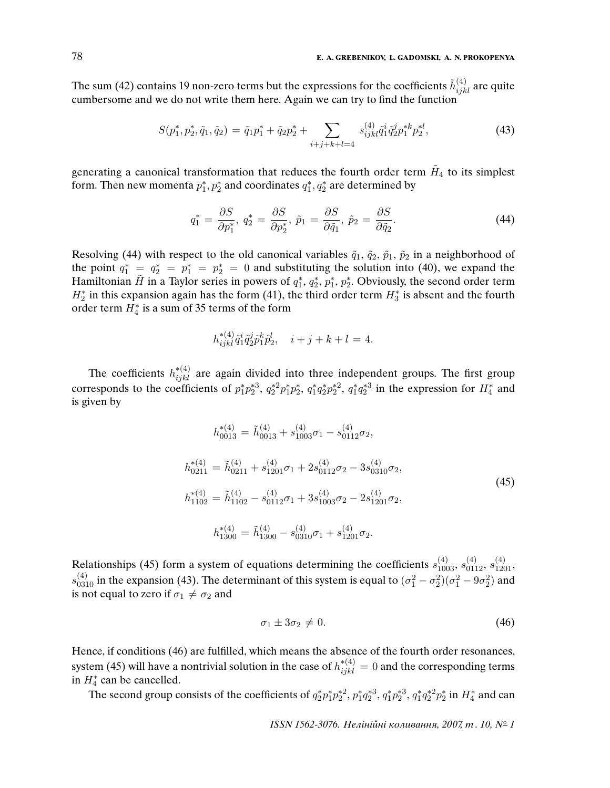The sum (42) contains 19 non-zero terms but the expressions for the coefficients  $\tilde{h}_{ijkl}^{(4)}$  are quite cumbersome and we do not write them here. Again we can try to find the function

$$
S(p_1^*, p_2^*, \tilde{q}_1, \tilde{q}_2) = \tilde{q}_1 p_1^* + \tilde{q}_2 p_2^* + \sum_{i+j+k+l=4} s_{ijkl}^{(4)} \tilde{q}_1^i \tilde{q}_2^j p_1^{*k} p_2^{*l}, \tag{43}
$$

generating a canonical transformation that reduces the fourth order term  $\tilde{H}_4$  to its simplest form. Then new momenta  $p_1^*, p_2^*$  and coordinates  $q_1^*, q_2^*$  are determined by

$$
q_1^* = \frac{\partial S}{\partial p_1^*}, \ q_2^* = \frac{\partial S}{\partial p_2^*}, \ \tilde{p}_1 = \frac{\partial S}{\partial \tilde{q}_1}, \ \tilde{p}_2 = \frac{\partial S}{\partial \tilde{q}_2}.
$$
\n
$$
(44)
$$

Resolving (44) with respect to the old canonical variables  $\tilde{q}_1$ ,  $\tilde{q}_2$ ,  $\tilde{p}_1$ ,  $\tilde{p}_2$  in a neighborhood of the point  $q_1^* = q_2^* = p_1^* = p_2^* = 0$  and substituting the solution into (40), we expand the Hamiltonian  $\tilde{H}$  in a Taylor series in powers of  $q_1^*, q_2^*, p_1^*, p_2^*$ . Obviously, the second order term  $H_2^*$  in this expansion again has the form (41), the third order term  $H_3^*$  is absent and the fourth order term  $H_4^*$  is a sum of 35 terms of the form

$$
h_{ijkl}^{*(4)} \tilde{q}_1^i \tilde{q}_2^j \tilde{p}_1^k \tilde{p}_2^l, \quad i+j+k+l=4.
$$

The coefficients  $h_{ijkl}^{*(4)}$  are again divided into three independent groups. The first group corresponds to the coefficients of  $p_1^*p_2^*^3$ ,  $q_2^*^2p_1^*p_2^*$ ,  $q_1^*q_2^*p_2^*^2$ ,  $q_1^*q_2^*^3$  in the expression for  $H_4^*$  and is given by

$$
h_{0013}^{*(4)} = \tilde{h}_{0013}^{(4)} + s_{1003}^{(4)} \sigma_1 - s_{0112}^{(4)} \sigma_2,
$$
  
\n
$$
h_{0211}^{*(4)} = \tilde{h}_{0211}^{(4)} + s_{1201}^{(4)} \sigma_1 + 2s_{0112}^{(4)} \sigma_2 - 3s_{0310}^{(4)} \sigma_2,
$$
  
\n
$$
h_{1102}^{*(4)} = \tilde{h}_{1102}^{(4)} - s_{0112}^{(4)} \sigma_1 + 3s_{1003}^{(4)} \sigma_2 - 2s_{1201}^{(4)} \sigma_2,
$$
  
\n
$$
h_{1300}^{*(4)} = \tilde{h}_{1300}^{(4)} - s_{0310}^{(4)} \sigma_1 + s_{1201}^{(4)} \sigma_2.
$$
\n(45)

Relationships (45) form a system of equations determining the coefficients  $s_{1003}^{(4)}$ ,  $s_{0112}^{(4)}$ ,  $s_{1201}^{(4)}$ ,  $s_{0310}^{(4)}$  in the expansion (43). The determinant of this system is equal to  $(\sigma_1^2 - \sigma_2^2)(\sigma_1^2 - 9\sigma_2^2)$  and is not equal to zero if  $\sigma_1 \neq \sigma_2$  and

$$
\sigma_1 \pm 3\sigma_2 \neq 0. \tag{46}
$$

Hence, if conditions (46) are fulfilled, which means the absence of the fourth order resonances, system (45) will have a nontrivial solution in the case of  $h^{*(4)}_{ijkl} = 0$  and the corresponding terms in  $H_4^*$  can be cancelled.

The second group consists of the coefficients of  $q_2^*p_1^*p_2^*^2$ ,  $p_1^*q_2^*^3$ ,  $q_1^*p_2^*^3$ ,  $q_1^*q_2^*^2p_2^*$  in  $H_4^*$  and can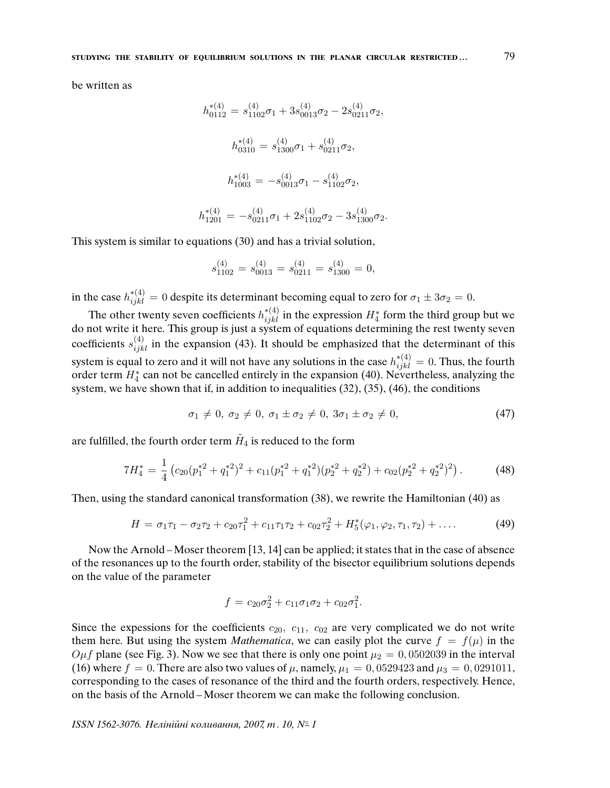be written as

$$
h_{0112}^{*(4)} = s_{1102}^{(4)}\sigma_1 + 3s_{0013}^{(4)}\sigma_2 - 2s_{0211}^{(4)}\sigma_2,
$$
  
\n
$$
h_{0310}^{*(4)} = s_{1300}^{(4)}\sigma_1 + s_{0211}^{(4)}\sigma_2,
$$
  
\n
$$
h_{1003}^{*(4)} = -s_{0013}^{(4)}\sigma_1 - s_{1102}^{(4)}\sigma_2,
$$
  
\n
$$
h_{1201}^{*(4)} = -s_{0211}^{(4)}\sigma_1 + 2s_{1102}^{(4)}\sigma_2 - 3s_{1300}^{(4)}\sigma_2.
$$

This system is similar to equations (30) and has a trivial solution,

h

$$
s_{1102}^{(4)} = s_{0013}^{(4)} = s_{0211}^{(4)} = s_{1300}^{(4)} = 0,
$$

in the case  $h^{*(4)}_{ijkl}=0$  despite its determinant becoming equal to zero for  $\sigma_1\pm 3\sigma_2=0.$ 

The other twenty seven coefficients  $h^{*(4)}_{ijkl}$  in the expression  $H_4^*$  form the third group but we do not write it here. This group is just a system of equations determining the rest twenty seven coefficients  $s_{ijkl}^{(4)}$  in the expansion (43). It should be emphasized that the determinant of this system is equal to zero and it will not have any solutions in the case  $h^{*(4)}_{ijkl} = 0.$  Thus, the fourth order term  $H_4^*$  can not be cancelled entirely in the expansion (40). Nevertheless, analyzing the system, we have shown that if, in addition to inequalities (32), (35), (46), the conditions

$$
\sigma_1 \neq 0, \ \sigma_2 \neq 0, \ \sigma_1 \pm \sigma_2 \neq 0, \ 3\sigma_1 \pm \sigma_2 \neq 0, \tag{47}
$$

are fulfilled, the fourth order term  $\tilde{H}_4$  is reduced to the form

$$
7H_4^* = \frac{1}{4} \left( c_{20} (p_1^{*2} + q_1^{*2})^2 + c_{11} (p_1^{*2} + q_1^{*2}) (p_2^{*2} + q_2^{*2}) + c_{02} (p_2^{*2} + q_2^{*2})^2 \right). \tag{48}
$$

Then, using the standard canonical transformation (38), we rewrite the Hamiltonian (40) as

$$
H = \sigma_1 \tau_1 - \sigma_2 \tau_2 + c_{20} \tau_1^2 + c_{11} \tau_1 \tau_2 + c_{02} \tau_2^2 + H_5^*(\varphi_1, \varphi_2, \tau_1, \tau_2) + \dots
$$
 (49)

Now the Arnold – Moser theorem [13, 14] can be applied; it states that in the case of absence of the resonances up to the fourth order, stability of the bisector equilibrium solutions depends on the value of the parameter

$$
f = c_{20}\sigma_2^2 + c_{11}\sigma_1\sigma_2 + c_{02}\sigma_1^2.
$$

Since the expessions for the coefficients  $c_{20}$ ,  $c_{11}$ ,  $c_{02}$  are very complicated we do not write them here. But using the system *Mathematica*, we can easily plot the curve  $f = f(\mu)$  in the  $O\mu f$  plane (see Fig. 3). Now we see that there is only one point  $\mu_2 = 0,0502039$  in the interval (16) where  $f = 0$ . There are also two values of  $\mu$ , namely,  $\mu_1 = 0.0529423$  and  $\mu_3 = 0.0291011$ , corresponding to the cases of resonance of the third and the fourth orders, respectively. Hence, on the basis of the Arnold – Moser theorem we can make the following conclusion.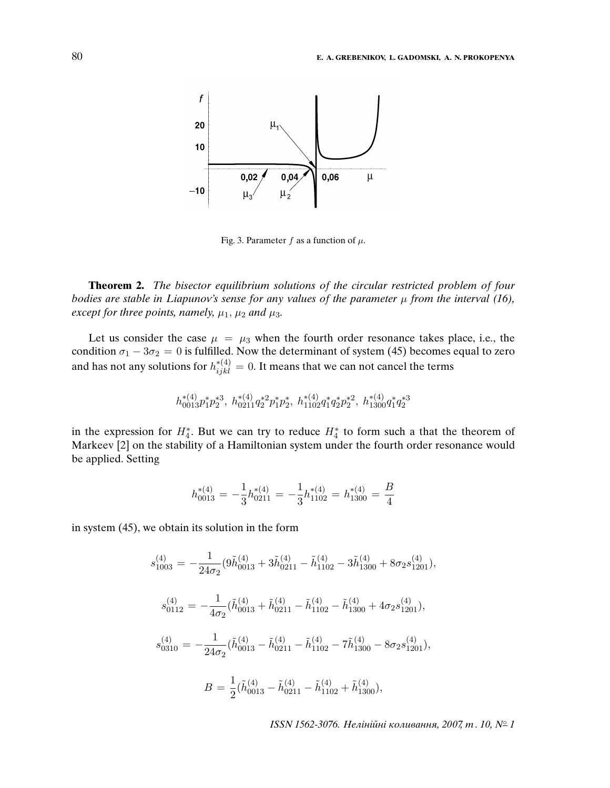

Fig. 3. Parameter f as a function of  $\mu$ .

**Theorem 2.** The bisector equilibrium solutions of the circular restricted problem of four bodies are stable in Liapunov's sense for any values of the parameter  $\mu$  from the interval (16), except for three points, namely,  $\mu_1$ ,  $\mu_2$  and  $\mu_3$ .

Let us consider the case  $\mu = \mu_3$  when the fourth order resonance takes place, i.e., the condition  $\sigma_1 - 3\sigma_2 = 0$  is fulfilled. Now the determinant of system (45) becomes equal to zero and has not any solutions for  $h^{*(4)}_{ijkl} = 0.$  It means that we can not cancel the terms

$$
h_{0013}^{*(4)}p_1^{\ast}p_2^{\ast 3},\ h_{0211}^{*(4)}q_2^{\ast 2}p_1^{\ast}p_2^{\ast},\ h_{1102}^{*(4)}q_1^{\ast}q_2^{\ast}p_2^{\ast 2},\ h_{1300}^{*(4)}q_1^{\ast}q_2^{\ast 3}
$$

in the expression for  $H_4^*$ . But we can try to reduce  $H_4^*$  to form such a that the theorem of Markeev [2] on the stability of a Hamiltonian system under the fourth order resonance would be applied. Setting

$$
h_{0013}^{*(4)} = -\frac{1}{3}h_{0211}^{*(4)} = -\frac{1}{3}h_{1102}^{*(4)} = h_{1300}^{*(4)} = \frac{B}{4}
$$

in system (45), we obtain its solution in the form

$$
s_{1003}^{(4)} = -\frac{1}{24\sigma_2} (9\tilde{h}_{0013}^{(4)} + 3\tilde{h}_{0211}^{(4)} - \tilde{h}_{1102}^{(4)} - 3\tilde{h}_{1300}^{(4)} + 8\sigma_2 s_{1201}^{(4)}),
$$
  
\n
$$
s_{0112}^{(4)} = -\frac{1}{4\sigma_2} (\tilde{h}_{0013}^{(4)} + \tilde{h}_{0211}^{(4)} - \tilde{h}_{1102}^{(4)} - \tilde{h}_{1300}^{(4)} + 4\sigma_2 s_{1201}^{(4)}),
$$
  
\n
$$
s_{0310}^{(4)} = -\frac{1}{24\sigma_2} (\tilde{h}_{0013}^{(4)} - \tilde{h}_{0211}^{(4)} - \tilde{h}_{1102}^{(4)} - 7\tilde{h}_{1300}^{(4)} - 8\sigma_2 s_{1201}^{(4)}),
$$
  
\n
$$
B = \frac{1}{2} (\tilde{h}_{0013}^{(4)} - \tilde{h}_{0211}^{(4)} - \tilde{h}_{1102}^{(4)} + \tilde{h}_{1300}^{(4)}),
$$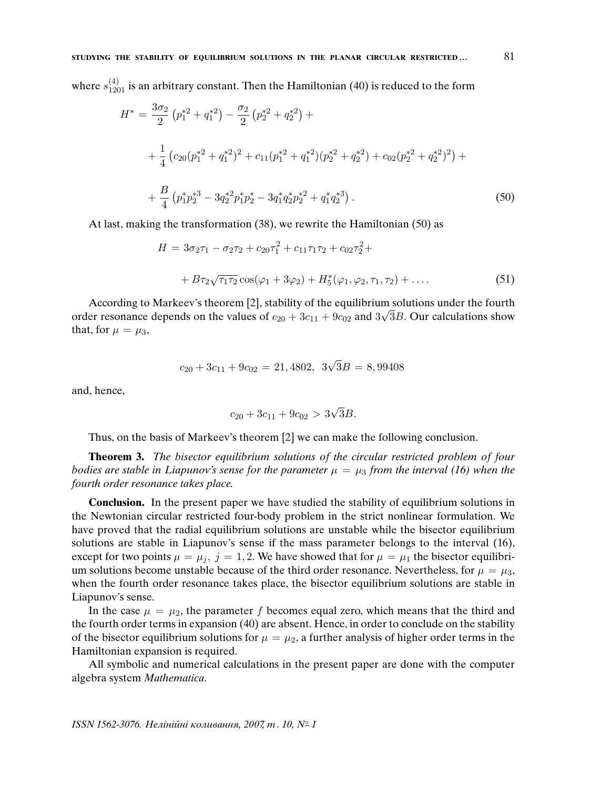where  $s_{1201}^{(4)}$  is an arbitrary constant. Then the Hamiltonian (40) is reduced to the form

$$
H^* = \frac{3\sigma_2}{2} \left( p_1^{*2} + q_1^{*2} \right) - \frac{\sigma_2}{2} \left( p_2^{*2} + q_2^{*2} \right) +
$$
  
+ 
$$
\frac{1}{4} \left( c_{20} (p_1^{*2} + q_1^{*2})^2 + c_{11} (p_1^{*2} + q_1^{*2}) (p_2^{*2} + q_2^{*2}) + c_{02} (p_2^{*2} + q_2^{*2})^2 \right) +
$$
  
+ 
$$
\frac{B}{4} \left( p_1^{*} p_2^{*3} - 3 q_2^{*2} p_1^{*} p_2^{*} - 3 q_1^{*} q_2^{*} p_2^{*2} + q_1^{*} q_2^{*3} \right).
$$
 (50)

At last, making the transformation (38), we rewrite the Hamiltonian (50) as

$$
H = 3\sigma_2 \tau_1 - \sigma_2 \tau_2 + c_{20} \tau_1^2 + c_{11} \tau_1 \tau_2 + c_{02} \tau_2^2 +
$$
  
+ 
$$
B\tau_2 \sqrt{\tau_1 \tau_2} \cos(\varphi_1 + 3\varphi_2) + H_5^*(\varphi_1, \varphi_2, \tau_1, \tau_2) + \dots
$$
 (51)

According to Markeev's theorem [2], stability of the equilibrium solutions under the fourth order resonance depends on the values of  $c_{20} + 3c_{11} + 9c_{02}$  and  $3\sqrt{3}B$ . Our calculations show that, for  $\mu = \mu_3$ ,

$$
c_{20} + 3c_{11} + 9c_{02} = 21,4802, 3\sqrt{3}B = 8,99408
$$

and, hence,

$$
c_{20} + 3c_{11} + 9c_{02} > 3\sqrt{3}B.
$$

Thus, on the basis of Markeev's theorem [2] we can make the following conclusion.

**Theorem 3.** The bisector equilibrium solutions of the circular restricted problem of four bodies are stable in Liapunov's sense for the parameter  $\mu = \mu_3$  from the interval (16) when the fourth order resonance takes place.

**Conclusion.** In the present paper we have studied the stability of equilibrium solutions in the Newtonian circular restricted four-body problem in the strict nonlinear formulation. We have proved that the radial equilibrium solutions are unstable while the bisector equilibrium solutions are stable in Liapunov's sense if the mass parameter belongs to the interval (16), except for two points  $\mu = \mu_j$ ,  $j = 1, 2$ . We have showed that for  $\mu = \mu_1$  the bisector equilibrium solutions become unstable because of the third order resonance. Nevertheless, for  $\mu = \mu_3$ , when the fourth order resonance takes place, the bisector equilibrium solutions are stable in Liapunov's sense.

In the case  $\mu = \mu_2$ , the parameter f becomes equal zero, which means that the third and the fourth order terms in expansion (40) are absent. Hence, in order to conclude on the stability of the bisector equilibrium solutions for  $\mu = \mu_2$ , a further analysis of higher order terms in the Hamiltonian expansion is required.

All symbolic and numerical calculations in the present paper are done with the computer algebra system Mathematica.